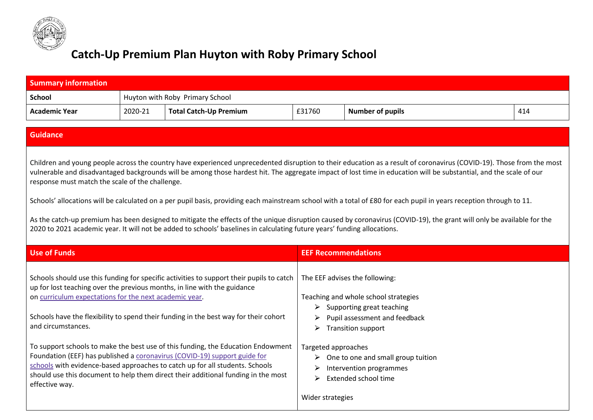

## **Catch-Up Premium Plan Huyton with Roby Primary School**

| <b>Summary information</b>                                                                                                                                                                                                                                                                                                                                                                                                                                                                                                                                                                                                                                                                                                                                                                                                                                                |                                 |                                                                                                                                                                                                                                                                                                                                                                                                                                                                                                                                                                                                    |                                         |                                                                                                                                                                                                                                                                                              |     |  |
|---------------------------------------------------------------------------------------------------------------------------------------------------------------------------------------------------------------------------------------------------------------------------------------------------------------------------------------------------------------------------------------------------------------------------------------------------------------------------------------------------------------------------------------------------------------------------------------------------------------------------------------------------------------------------------------------------------------------------------------------------------------------------------------------------------------------------------------------------------------------------|---------------------------------|----------------------------------------------------------------------------------------------------------------------------------------------------------------------------------------------------------------------------------------------------------------------------------------------------------------------------------------------------------------------------------------------------------------------------------------------------------------------------------------------------------------------------------------------------------------------------------------------------|-----------------------------------------|----------------------------------------------------------------------------------------------------------------------------------------------------------------------------------------------------------------------------------------------------------------------------------------------|-----|--|
| <b>School</b>                                                                                                                                                                                                                                                                                                                                                                                                                                                                                                                                                                                                                                                                                                                                                                                                                                                             | Huyton with Roby Primary School |                                                                                                                                                                                                                                                                                                                                                                                                                                                                                                                                                                                                    |                                         |                                                                                                                                                                                                                                                                                              |     |  |
| <b>Academic Year</b>                                                                                                                                                                                                                                                                                                                                                                                                                                                                                                                                                                                                                                                                                                                                                                                                                                                      | 2020-21                         | <b>Total Catch-Up Premium</b>                                                                                                                                                                                                                                                                                                                                                                                                                                                                                                                                                                      | £31760                                  | <b>Number of pupils</b>                                                                                                                                                                                                                                                                      | 414 |  |
|                                                                                                                                                                                                                                                                                                                                                                                                                                                                                                                                                                                                                                                                                                                                                                                                                                                                           |                                 |                                                                                                                                                                                                                                                                                                                                                                                                                                                                                                                                                                                                    |                                         |                                                                                                                                                                                                                                                                                              |     |  |
| <b>Guidance</b>                                                                                                                                                                                                                                                                                                                                                                                                                                                                                                                                                                                                                                                                                                                                                                                                                                                           |                                 |                                                                                                                                                                                                                                                                                                                                                                                                                                                                                                                                                                                                    |                                         |                                                                                                                                                                                                                                                                                              |     |  |
| Children and young people across the country have experienced unprecedented disruption to their education as a result of coronavirus (COVID-19). Those from the most<br>vulnerable and disadvantaged backgrounds will be among those hardest hit. The aggregate impact of lost time in education will be substantial, and the scale of our<br>response must match the scale of the challenge.<br>Schools' allocations will be calculated on a per pupil basis, providing each mainstream school with a total of £80 for each pupil in years reception through to 11.<br>As the catch-up premium has been designed to mitigate the effects of the unique disruption caused by coronavirus (COVID-19), the grant will only be available for the<br>2020 to 2021 academic year. It will not be added to schools' baselines in calculating future years' funding allocations. |                                 |                                                                                                                                                                                                                                                                                                                                                                                                                                                                                                                                                                                                    |                                         |                                                                                                                                                                                                                                                                                              |     |  |
| <b>Use of Funds</b>                                                                                                                                                                                                                                                                                                                                                                                                                                                                                                                                                                                                                                                                                                                                                                                                                                                       |                                 |                                                                                                                                                                                                                                                                                                                                                                                                                                                                                                                                                                                                    | <b>EEF Recommendations</b>              |                                                                                                                                                                                                                                                                                              |     |  |
| on curriculum expectations for the next academic year.<br>and circumstances.<br>effective way.                                                                                                                                                                                                                                                                                                                                                                                                                                                                                                                                                                                                                                                                                                                                                                            |                                 | Schools should use this funding for specific activities to support their pupils to catch<br>up for lost teaching over the previous months, in line with the guidance<br>Schools have the flexibility to spend their funding in the best way for their cohort<br>To support schools to make the best use of this funding, the Education Endowment<br>Foundation (EEF) has published a coronavirus (COVID-19) support guide for<br>schools with evidence-based approaches to catch up for all students. Schools<br>should use this document to help them direct their additional funding in the most | ➤<br>➤<br>Targeted approaches<br>➤<br>➤ | The EEF advises the following:<br>Teaching and whole school strategies<br>$\triangleright$ Supporting great teaching<br>Pupil assessment and feedback<br><b>Transition support</b><br>$\triangleright$ One to one and small group tuition<br>Intervention programmes<br>Extended school time |     |  |
|                                                                                                                                                                                                                                                                                                                                                                                                                                                                                                                                                                                                                                                                                                                                                                                                                                                                           |                                 |                                                                                                                                                                                                                                                                                                                                                                                                                                                                                                                                                                                                    | Wider strategies                        |                                                                                                                                                                                                                                                                                              |     |  |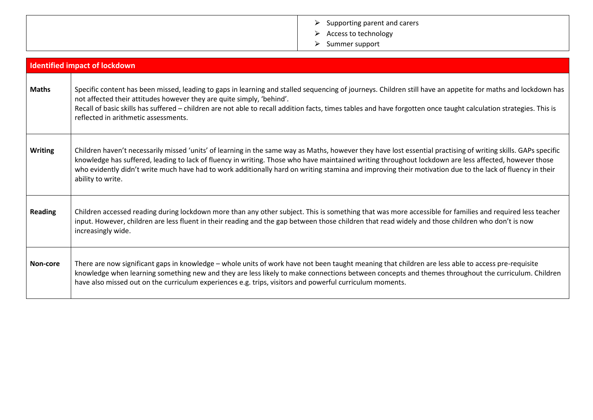|  | Supporting parent and carers |
|--|------------------------------|
|--|------------------------------|

- > Access to technology
- ⮚ Summer support

|                | <b>Identified impact of lockdown</b>                                                                                                                                                                                                                                                                                                                                                                                                                                                                     |
|----------------|----------------------------------------------------------------------------------------------------------------------------------------------------------------------------------------------------------------------------------------------------------------------------------------------------------------------------------------------------------------------------------------------------------------------------------------------------------------------------------------------------------|
| <b>Maths</b>   | Specific content has been missed, leading to gaps in learning and stalled sequencing of journeys. Children still have an appetite for maths and lockdown has<br>not affected their attitudes however they are quite simply, 'behind'.<br>Recall of basic skills has suffered - children are not able to recall addition facts, times tables and have forgotten once taught calculation strategies. This is<br>reflected in arithmetic assessments.                                                       |
| <b>Writing</b> | Children haven't necessarily missed 'units' of learning in the same way as Maths, however they have lost essential practising of writing skills. GAPs specific<br>knowledge has suffered, leading to lack of fluency in writing. Those who have maintained writing throughout lockdown are less affected, however those<br>who evidently didn't write much have had to work additionally hard on writing stamina and improving their motivation due to the lack of fluency in their<br>ability to write. |
| <b>Reading</b> | Children accessed reading during lockdown more than any other subject. This is something that was more accessible for families and required less teacher<br>input. However, children are less fluent in their reading and the gap between those children that read widely and those children who don't is now<br>increasingly wide.                                                                                                                                                                      |
| Non-core       | There are now significant gaps in knowledge - whole units of work have not been taught meaning that children are less able to access pre-requisite<br>knowledge when learning something new and they are less likely to make connections between concepts and themes throughout the curriculum. Children<br>have also missed out on the curriculum experiences e.g. trips, visitors and powerful curriculum moments.                                                                                     |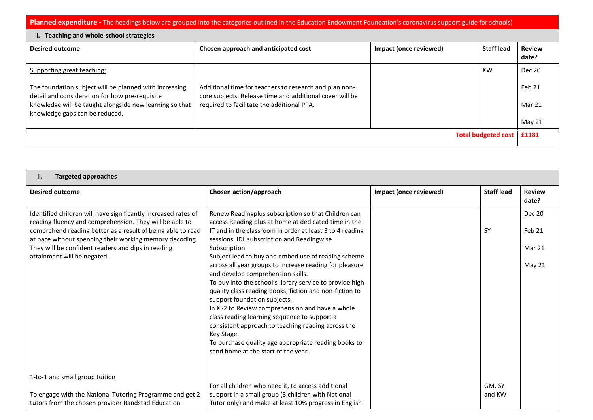Planned expenditure - The headings below are grouped into the categories outlined in the Education Endowment Foundation's coronavirus support guide for schools)

| Teaching and whole-school strategies                                                                     |                                                                                                                    |                        |                   |                        |  |  |
|----------------------------------------------------------------------------------------------------------|--------------------------------------------------------------------------------------------------------------------|------------------------|-------------------|------------------------|--|--|
| <b>Desired outcome</b>                                                                                   | Chosen approach and anticipated cost                                                                               | Impact (once reviewed) | <b>Staff lead</b> | <b>Review</b><br>date? |  |  |
| Supporting great teaching:                                                                               |                                                                                                                    |                        | KW                | Dec 20                 |  |  |
| The foundation subject will be planned with increasing<br>detail and consideration for how pre-requisite | Additional time for teachers to research and plan non-<br>core subjects. Release time and additional cover will be |                        |                   | Feb 21                 |  |  |
| knowledge will be taught alongside new learning so that<br>knowledge gaps can be reduced.                | required to facilitate the additional PPA.                                                                         |                        |                   | Mar 21<br>May 21       |  |  |
| <b>Total budgeted cost</b>                                                                               |                                                                                                                    |                        |                   | £1181                  |  |  |
|                                                                                                          |                                                                                                                    |                        |                   |                        |  |  |

| <b>Targeted approaches</b><br>ii.                                                                                                                                                                                                                   |                                                                                                                                                                                                                                                                                                                                                                                                                                                                                                                           |                        |                   |                         |  |  |
|-----------------------------------------------------------------------------------------------------------------------------------------------------------------------------------------------------------------------------------------------------|---------------------------------------------------------------------------------------------------------------------------------------------------------------------------------------------------------------------------------------------------------------------------------------------------------------------------------------------------------------------------------------------------------------------------------------------------------------------------------------------------------------------------|------------------------|-------------------|-------------------------|--|--|
| <b>Desired outcome</b>                                                                                                                                                                                                                              | Chosen action/approach                                                                                                                                                                                                                                                                                                                                                                                                                                                                                                    | Impact (once reviewed) | <b>Staff lead</b> | <b>Review</b><br>date?  |  |  |
| Identified children will have significantly increased rates of<br>reading fluency and comprehension. They will be able to<br>comprehend reading better as a result of being able to read<br>at pace without spending their working memory decoding. | Renew Readingplus subscription so that Children can<br>access Reading plus at home at dedicated time in the<br>IT and in the classroom in order at least 3 to 4 reading<br>sessions. IDL subscription and Readingwise                                                                                                                                                                                                                                                                                                     |                        | <b>SY</b>         | <b>Dec 20</b><br>Feb 21 |  |  |
| They will be confident readers and dips in reading<br>attainment will be negated.                                                                                                                                                                   | Subscription<br>Subject lead to buy and embed use of reading scheme                                                                                                                                                                                                                                                                                                                                                                                                                                                       |                        |                   | Mar 21                  |  |  |
|                                                                                                                                                                                                                                                     | across all year groups to increase reading for pleasure<br>and develop comprehension skills.<br>To buy into the school's library service to provide high<br>quality class reading books, fiction and non-fiction to<br>support foundation subjects.<br>In KS2 to Review comprehension and have a whole<br>class reading learning sequence to support a<br>consistent approach to teaching reading across the<br>Key Stage.<br>To purchase quality age appropriate reading books to<br>send home at the start of the year. |                        |                   | May 21                  |  |  |
| 1-to-1 and small group tuition                                                                                                                                                                                                                      |                                                                                                                                                                                                                                                                                                                                                                                                                                                                                                                           |                        |                   |                         |  |  |
| To engage with the National Tutoring Programme and get 2<br>tutors from the chosen provider Randstad Education                                                                                                                                      | For all children who need it, to access additional<br>support in a small group (3 children with National<br>Tutor only) and make at least 10% progress in English                                                                                                                                                                                                                                                                                                                                                         |                        | GM, SY<br>and KW  |                         |  |  |